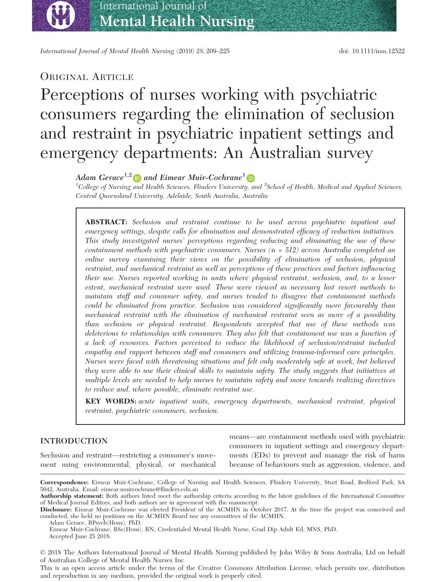bs\_bs\_banner

International Journal of Mental Health Nursing (2019) 28, 209–225 doi: 10.1111/inm.12522

## ORIGINAL ARTICLE

# Perceptions of nurses working with psychiatric consumers regarding the elimination of seclusion and restraint in psychiatric inpatient settings and emergency departments: An Australian survey

## Adam Gerace<sup>1,2</sup> and Eimear Muir-Cochrane<sup>1</sup>

 $^1$ College of Nursing and Health Sciences, Flinders University, and  $^2$ School of Health, Medical and Applied Sciences, Central Queensland University, Adelaide, South Australia, Australia

ABSTRACT: Seclusion and restraint continue to be used across psychiatric inpatient and emergency settings, despite calls for elimination and demonstrated efficacy of reduction initiatives. This study investigated nurses' perceptions regarding reducing and eliminating the use of these containment methods with psychiatric consumers. Nurses  $(n = 512)$  across Australia completed an online survey examining their views on the possibility of elimination of seclusion, physical restraint, and mechanical restraint as well as perceptions of these practices and factors influencing their use. Nurses reported working in units where physical restraint, seclusion, and, to a lesser extent, mechanical restraint were used. These were viewed as necessary last resort methods to maintain staff and consumer safety, and nurses tended to disagree that containment methods could be eliminated from practice. Seclusion was considered significantly more favourably than mechanical restraint with the elimination of mechanical restraint seen as more of a possibility than seclusion or physical restraint. Respondents accepted that use of these methods was deleterious to relationships with consumers. They also felt that containment use was a function of a lack of resources. Factors perceived to reduce the likelihood of seclusion/restraint included empathy and rapport between staff and consumers and utilizing trauma-informed care principles. Nurses were faced with threatening situations and felt only moderately safe at work, but believed they were able to use their clinical skills to maintain safety. The study suggests that initiatives at multiple levels are needed to help nurses to maintain safety and move towards realizing directives to reduce and, where possible, eliminate restraint use.

KEY WORDS: acute inpatient units, emergency departments, mechanical restraint, physical restraint, psychiatric consumers, seclusion.

## INTRODUCTION

Seclusion and restraint—restricting a consumer's movement using environmental, physical, or mechanical means—are containment methods used with psychiatric consumers in inpatient settings and emergency departments (EDs) to prevent and manage the risk of harm because of behaviours such as aggression, violence, and

Disclosure: Eimear Muir-Cochrane was elected President of the ACMHN in October 2017. At the time the project was conceived and conducted, she held no positions on the ACMHN Board nor any committees of the ACMHN.

Adam Gerace, BPsych(Hons), PhD.

Eimear Muir-Cochrane, BSc(Hons), RN, Credentialed Mental Health Nurse, Grad Dip Adult Ed, MNS, PhD. Accepted June 25 2018.

© 2018 The Authors International Journal of Mental Health Nursing published by John Wiley & Sons Australia, Ltd on behalf of Australian College of Mental Health Nurses Inc

This is an open access article under the terms of the [Creative Commons Attribution](http://creativecommons.org/licenses/by/4.0/) License, which permits use, distribution and reproduction in any medium, provided the original work is properly cited.

Correspondence: Eimear Muir-Cochrane, College of Nursing and Health Sciences, Flinders University, Sturt Road, Bedford Park, SA 5042, Australia. Email: [eimear.muircochrane@flinders.edu.au](mailto:)

Authorship statement: Both authors listed meet the authorship criteria according to the latest guidelines of the International Committee of Medical Journal Editors, and both authors are in agreement with the manuscript.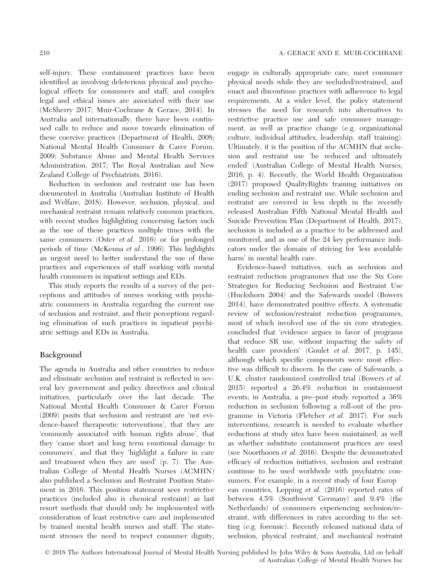self-injury. These containment practices have been identified as involving deleterious physical and psychological effects for consumers and staff, and complex legal and ethical issues are associated with their use (McSherry 2017; Muir-Cochrane & Gerace, 2014). In Australia and internationally, there have been continued calls to reduce and move towards elimination of these coercive practices (Department of Health, 2008; National Mental Health Consumer & Carer Forum, 2009; Substance Abuse and Mental Health Services Administration, 2017; The Royal Australian and New Zealand College of Psychiatrists, 2016).

Reduction in seclusion and restraint use has been documented in Australia (Australian Institute of Health and Welfare, 2018). However, seclusion, physical, and mechanical restraint remain relatively common practices, with recent studies highlighting concerning factors such as the use of these practices multiple times with the same consumers (Oster *et al.* 2016) or for prolonged periods of time (McKenna et al., 1996). This highlights an urgent need to better understand the use of these practices and experiences of staff working with mental health consumers in inpatient settings and EDs.

This study reports the results of a survey of the perceptions and attitudes of nurses working with psychiatric consumers in Australia regarding the current use of seclusion and restraint, and their perceptions regarding elimination of such practices in inpatient psychiatric settings and EDs in Australia.

## Background

The agenda in Australia and other countries to reduce and eliminate seclusion and restraint is reflected in several key government and policy directives and clinical initiatives, particularly over the last decade. The National Mental Health Consumer & Carer Forum (2009) posits that seclusion and restraint are 'not evidence-based therapeutic interventions', that they are 'commonly associated with human rights abuse', that they 'cause short and long term emotional damage to consumers', and that they 'highlight a failure in care and treatment when they are used' (p. 7). The Australian College of Mental Health Nurses (ACMHN) also published a Seclusion and Restraint Position Statement in 2016. This position statement sees restrictive practices (included also is chemical restraint) as last resort methods that should only be implemented with consideration of least restrictive care and implemented by trained mental health nurses and staff. The statement stresses the need to respect consumer dignity,

engage in culturally appropriate care, meet consumer physical needs while they are secluded/restrained, and enact and discontinue practices with adherence to legal requirements. At a wider level, the policy statement stresses the need for research into alternatives to restrictive practice use and safe consumer management, as well as practice change (e.g. organizational culture, individual attitudes, leadership, staff training). Ultimately, it is the position of the ACMHN that seclusion and restraint use 'be reduced and ultimately ended' (Australian College of Mental Health Nurses, 2016, p. 4). Recently, the World Health Organization (2017) proposed QualityRights training initiatives on ending seclusion and restraint use. While seclusion and restraint are covered in less depth in the recently released Australian Fifth National Mental Health and Suicide Prevention Plan (Department of Health, 2017), seclusion is included as a practice to be addressed and monitored, and as one of the 24 key performance indicators under the domain of striving for 'less avoidable harm' in mental health care.

Evidence-based initiatives, such as seclusion and restraint reduction programmes that use the Six Core Strategies for Reducing Seclusion and Restraint Use (Huckshorn 2004) and the Safewards model (Bowers 2014), have demonstrated positive effects. A systematic review of seclusion/restraint reduction programmes, most of which involved use of the six core strategies, concluded that 'evidence argues in favor of programs that reduce SR use, without impacting the safety of health care providers' (Goulet et al. 2017, p. 145), although which specific components were most effective was difficult to discern. In the case of Safewards, a U.K. cluster randomized controlled trial (Bowers et al. 2015) reported a 26.4% reduction in containment events; in Australia, a pre–post study reported a 36% reduction in seclusion following a roll-out of the programme in Victoria (Fletcher et al. 2017). For such interventions, research is needed to evaluate whether reductions at study sites have been maintained, as well as whether substitute containment practices are used (see Noorthoorn et al. 2016). Despite the demonstrated efficacy of reduction initiatives, seclusion and restraint continue to be used worldwide with psychiatric consumers. For example, in a recent study of four Europ ean countries, Lepping et al. (2016) reported rates of between 4.5% (Southwest Germany) and 9.4% (the Netherlands) of consumers experiencing seclusion/restraint, with differences in rates according to the setting (e.g. forensic). Recently released national data of seclusion, physical restraint, and mechanical restraint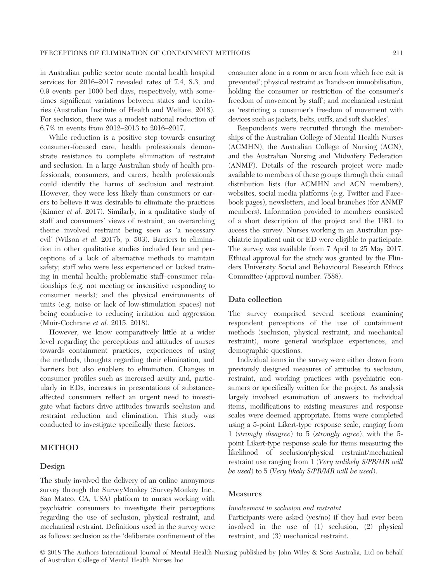in Australian public sector acute mental health hospital services for 2016–2017 revealed rates of 7.4, 8.3, and 0.9 events per 1000 bed days, respectively, with sometimes significant variations between states and territories (Australian Institute of Health and Welfare, 2018). For seclusion, there was a modest national reduction of 6.7% in events from 2012–2013 to 2016–2017.

While reduction is a positive step towards ensuring consumer-focused care, health professionals demonstrate resistance to complete elimination of restraint and seclusion. In a large Australian study of health professionals, consumers, and carers, health professionals could identify the harms of seclusion and restraint. However, they were less likely than consumers or carers to believe it was desirable to eliminate the practices (Kinner et al. 2017). Similarly, in a qualitative study of staff and consumers' views of restraint, an overarching theme involved restraint being seen as 'a necessary evil' (Wilson et al. 2017b, p. 503). Barriers to elimination in other qualitative studies included fear and perceptions of a lack of alternative methods to maintain safety; staff who were less experienced or lacked training in mental health; problematic staff–consumer relationships (e.g. not meeting or insensitive responding to consumer needs); and the physical environments of units (e.g. noise or lack of low-stimulation spaces) not being conducive to reducing irritation and aggression (Muir-Cochrane et al. 2015, 2018).

However, we know comparatively little at a wider level regarding the perceptions and attitudes of nurses towards containment practices, experiences of using the methods, thoughts regarding their elimination, and barriers but also enablers to elimination. Changes in consumer profiles such as increased acuity and, particularly in EDs, increases in presentations of substanceaffected consumers reflect an urgent need to investigate what factors drive attitudes towards seclusion and restraint reduction and elimination. This study was conducted to investigate specifically these factors.

## METHOD

#### Design

The study involved the delivery of an online anonymous survey through the SurveyMonkey (SurveyMonkey Inc., San Mateo, CA, USA) platform to nurses working with psychiatric consumers to investigate their perceptions regarding the use of seclusion, physical restraint, and mechanical restraint. Definitions used in the survey were as follows: seclusion as the 'deliberate confinement of the

consumer alone in a room or area from which free exit is prevented'; physical restraint as 'hands-on immobilisation, holding the consumer or restriction of the consumer's freedom of movement by staff'; and mechanical restraint as 'restricting a consumer's freedom of movement with devices such as jackets, belts, cuffs, and soft shackles'.

Respondents were recruited through the memberships of the Australian College of Mental Health Nurses (ACMHN), the Australian College of Nursing (ACN), and the Australian Nursing and Midwifery Federation (ANMF). Details of the research project were made available to members of these groups through their email distribution lists (for ACMHN and ACN members), websites, social media platforms (e.g. Twitter and Facebook pages), newsletters, and local branches (for ANMF members). Information provided to members consisted of a short description of the project and the URL to access the survey. Nurses working in an Australian psychiatric inpatient unit or ED were eligible to participate. The survey was available from 7 April to 25 May 2017. Ethical approval for the study was granted by the Flinders University Social and Behavioural Research Ethics Committee (approval number: 7588).

### Data collection

The survey comprised several sections examining respondent perceptions of the use of containment methods (seclusion, physical restraint, and mechanical restraint), more general workplace experiences, and demographic questions.

Individual items in the survey were either drawn from previously designed measures of attitudes to seclusion, restraint, and working practices with psychiatric consumers or specifically written for the project. As analysis largely involved examination of answers to individual items, modifications to existing measures and response scales were deemed appropriate. Items were completed using a 5-point Likert-type response scale, ranging from 1 (strongly disagree) to 5 (strongly agree), with the 5 point Likert-type response scale for items measuring the likelihood of seclusion/physical restraint/mechanical restraint use ranging from 1 (Very unlikely S/PR/MR will be used) to 5 (Very likely S/PR/MR will be used).

#### Measures

#### Involvement in seclusion and restraint

Participants were asked (yes/no) if they had ever been involved in the use of (1) seclusion, (2) physical restraint, and (3) mechanical restraint.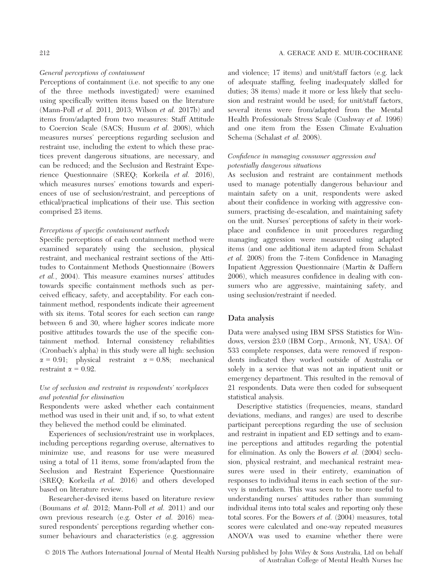#### General perceptions of containment

Perceptions of containment (i.e. not specific to any one of the three methods investigated) were examined using specifically written items based on the literature (Mann-Poll et al. 2011, 2013; Wilson et al. 2017b) and items from/adapted from two measures: Staff Attitude to Coercion Scale (SACS; Husum et al. 2008), which measures nurses' perceptions regarding seclusion and restraint use, including the extent to which these practices prevent dangerous situations, are necessary, and can be reduced; and the Seclusion and Restraint Experience Questionnaire (SREQ; Korkeila et al. 2016), which measures nurses' emotions towards and experiences of use of seclusion/restraint, and perceptions of ethical/practical implications of their use. This section comprised 23 items.

#### Perceptions of specific containment methods

Specific perceptions of each containment method were examined separately using the seclusion, physical restraint, and mechanical restraint sections of the Attitudes to Containment Methods Questionnaire (Bowers et al., 2004). This measure examines nurses' attitudes towards specific containment methods such as perceived efficacy, safety, and acceptability. For each containment method, respondents indicate their agreement with six items. Total scores for each section can range between 6 and 30, where higher scores indicate more positive attitudes towards the use of the specific containment method. Internal consistency reliabilities (Cronbach's alpha) in this study were all high: seclusion  $\alpha = 0.91$ ; physical restraint  $\alpha = 0.88$ ; mechanical restraint  $\alpha = 0.92$ .

## Use of seclusion and restraint in respondents' workplaces and potential for elimination

Respondents were asked whether each containment method was used in their unit and, if so, to what extent they believed the method could be eliminated.

Experiences of seclusion/restraint use in workplaces, including perceptions regarding overuse, alternatives to minimize use, and reasons for use were measured using a total of 11 items, some from/adapted from the Seclusion and Restraint Experience Questionnaire (SREQ; Korkeila et al. 2016) and others developed based on literature review.

Researcher-devised items based on literature review (Boumans et al. 2012; Mann-Poll et al. 2011) and our own previous research (e.g. Oster et al. 2016) measured respondents' perceptions regarding whether consumer behaviours and characteristics (e.g. aggression

and violence; 17 items) and unit/staff factors (e.g. lack of adequate staffing, feeling inadequately skilled for duties; 38 items) made it more or less likely that seclusion and restraint would be used; for unit/staff factors, several items were from/adapted from the Mental Health Professionals Stress Scale (Cushway et al. 1996) and one item from the Essen Climate Evaluation Schema (Schalast et al. 2008).

## Confidence in managing consumer aggression and potentially dangerous situations

As seclusion and restraint are containment methods used to manage potentially dangerous behaviour and maintain safety on a unit, respondents were asked about their confidence in working with aggressive consumers, practising de-escalation, and maintaining safety on the unit. Nurses' perceptions of safety in their workplace and confidence in unit procedures regarding managing aggression were measured using adapted items (and one additional item adapted from Schalast et al. 2008) from the 7-item Confidence in Managing Inpatient Aggression Questionnaire (Martin & Daffern 2006), which measures confidence in dealing with consumers who are aggressive, maintaining safety, and using seclusion/restraint if needed.

#### Data analysis

Data were analysed using IBM SPSS Statistics for Windows, version 23.0 (IBM Corp., Armonk, NY, USA). Of 533 complete responses, data were removed if respondents indicated they worked outside of Australia or solely in a service that was not an inpatient unit or emergency department. This resulted in the removal of 21 respondents. Data were then coded for subsequent statistical analysis.

Descriptive statistics (frequencies, means, standard deviations, medians, and ranges) are used to describe participant perceptions regarding the use of seclusion and restraint in inpatient and ED settings and to examine perceptions and attitudes regarding the potential for elimination. As only the Bowers et al. (2004) seclusion, physical restraint, and mechanical restraint measures were used in their entirety, examination of responses to individual items in each section of the survey is undertaken. This was seen to be more useful to understanding nurses' attitudes rather than summing individual items into total scales and reporting only these total scores. For the Bowers et al. (2004) measures, total scores were calculated and one-way repeated measures ANOVA was used to examine whether there were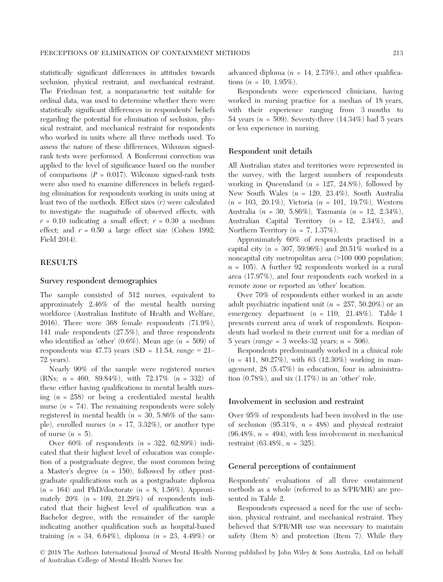statistically significant differences in attitudes towards seclusion, physical restraint, and mechanical restraint. The Friedman test, a nonparametric test suitable for ordinal data, was used to determine whether there were statistically significant differences in respondents' beliefs regarding the potential for elimination of seclusion, physical restraint, and mechanical restraint for respondents who worked in units where all three methods used. To assess the nature of these differences, Wilcoxon signedrank tests were performed. A Bonferroni correction was applied to the level of significance based on the number of comparisons  $(P = 0.017)$ . Wilcoxon signed-rank tests were also used to examine differences in beliefs regarding elimination for respondents working in units using at least two of the methods. Effect sizes  $(r)$  were calculated to investigate the magnitude of observed effects, with  $r = 0.10$  indicating a small effect;  $r = 0.30$  a medium effect; and  $r = 0.50$  a large effect size (Cohen 1992; Field 2014).

## RESULTS

#### Survey respondent demographics

The sample consisted of 512 nurses, equivalent to approximately 2.46% of the mental health nursing workforce (Australian Institute of Health and Welfare, 2016). There were 368 female respondents (71.9%), 141 male respondents (27.5%), and three respondents who identified as 'other'  $(0.6\%)$ . Mean age  $(n = 509)$  of respondents was 47.73 years (SD = 11.54,  $range = 21-$ 72 years).

Nearly 90% of the sample were registered nurses (RNs;  $n = 460$ , 89.84%), with  $72.17\%$  ( $n = 332$ ) of these either having qualifications in mental health nursing  $(n = 258)$  or being a credentialed mental health nurse  $(n = 74)$ . The remaining respondents were solely registered in mental health ( $n = 30, 5.86\%$  of the sample), enrolled nurses  $(n = 17, 3.32\%)$ , or another type of nurse  $(n = 5)$ .

Over  $60\%$  of respondents  $(n = 322, 62.89\%)$  indicated that their highest level of education was completion of a postgraduate degree, the most common being a Master's degree  $(n = 150)$ , followed by other postgraduate qualifications such as a postgraduate diploma  $(n = 164)$  and PhD/doctorate  $(n = 8, 1.56\%)$ . Approximately  $20\%$  ( $n = 109$ ,  $21.29\%$ ) of respondents indicated that their highest level of qualification was a Bachelor degree, with the remainder of the sample indicating another qualification such as hospital-based training  $(n = 34, 6.64\%)$ , diploma  $(n = 23, 4.49\%)$  or

advanced diploma ( $n = 14, 2.73\%)$ , and other qualifications  $(n = 10, 1.95\%).$ 

Respondents were experienced clinicians, having worked in nursing practice for a median of 18 years, with their experience ranging from 3 months to 54 years ( $n = 509$ ). Seventy-three (14.34%) had 5 years or less experience in nursing.

#### Respondent unit details

All Australian states and territories were represented in the survey, with the largest numbers of respondents working in Queensland ( $n = 127, 24.8\%$ ), followed by New South Wales  $(n = 120, 23.4\%)$ , South Australia  $(n = 103, 20.1\%)$ , Victoria  $(n = 101, 19.7\%)$ , Western Australia (n = 30, 5.86%), Tasmania (n = 12, 2.34%), Australian Capital Territory  $(n = 12, 2.34\%)$ , and Northern Territory ( $n = 7, 1.37\%$ ).

Approximately 60% of respondents practised in a capital city ( $n = 307, 59.96\%$ ) and 20.51% worked in a noncapital city metropolitan area (>100 000 population;  $n = 105$ ). A further 92 respondents worked in a rural area (17.97%), and four respondents each worked in a remote zone or reported an 'other' location.

Over 70% of respondents either worked in an acute adult psychiatric inpatient unit ( $n = 257, 50.20\%$ ) or an emergency department  $(n = 110, 21.48\%)$ . Table 1 presents current area of work of respondents. Respondents had worked in their current unit for a median of 5 years ( $range = 3$  weeks-32 years;  $n = 506$ ).

Respondents predominantly worked in a clinical role  $(n = 411, 80.27\%)$ , with 63 (12.30%) working in management, 28 (5.47%) in education, four in administration  $(0.78\%)$ , and six  $(1.17\%)$  in an 'other' role.

#### Involvement in seclusion and restraint

Over 95% of respondents had been involved in the use of seclusion  $(95.31\%, n = 488)$  and physical restraint  $(96.48\%, n = 494)$ , with less involvement in mechanical restraint  $(63.48\%, n = 325)$ .

#### General perceptions of containment

Respondents' evaluations of all three containment methods as a whole (referred to as S/PR/MR) are presented in Table 2.

Respondents expressed a need for the use of seclusion, physical restraint, and mechanical restraint. They believed that S/PR/MR use was necessary to maintain safety (Item 8) and protection (Item 7). While they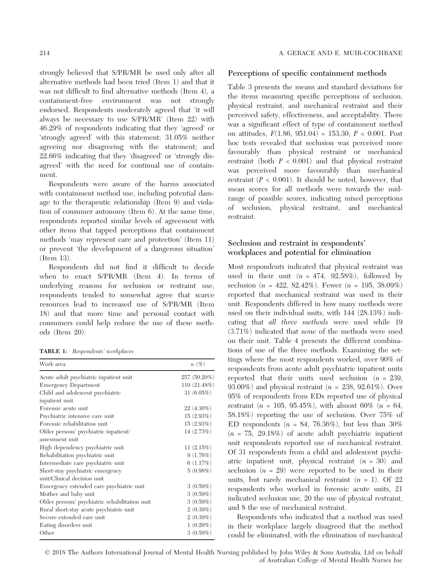strongly believed that S/PR/MR be used only after all alternative methods had been tried (Item 1) and that it was not difficult to find alternative methods (Item 4), a containment-free environment was not strongly endorsed. Respondents moderately agreed that 'it will always be necessary to use S/PR/MR' (Item 22) with 46.29% of respondents indicating that they 'agreed' or 'strongly agreed' with this statement; 31.05% neither agreeing nor disagreeing with the statement; and 22.66% indicating that they 'disagreed' or 'strongly disagreed' with the need for continual use of containment.

Respondents were aware of the harms associated with containment method use, including potential damage to the therapeutic relationship (Item 9) and violation of consumer autonomy (Item 6). At the same time, respondents reported similar levels of agreement with other items that tapped perceptions that containment methods 'may represent care and protection' (Item 11) or prevent 'the development of a dangerous situation' (Item 13).

Respondents did not find it difficult to decide when to enact S/PR/MR (Item 4). In terms of underlying reasons for seclusion or restraint use, respondents tended to somewhat agree that scarce resources lead to increased use of S/PR/MR (Item 18) and that more time and personal contact with consumers could help reduce the use of these methods (Item 20).

TABLE 1: Respondents' workplaces

| Work area                                      | $n(\%)$       |
|------------------------------------------------|---------------|
| Acute adult psychiatric inpatient unit         | 257 (50.20%)  |
| <b>Emergency Department</b>                    | 110 (21.48%)  |
| Child and adolescent psychiatric               | 31 $(6.05\%)$ |
| inpatient unit                                 |               |
| Forensic acute unit                            | $22(4.30\%)$  |
| Psychiatric intensive care unit                | 15(2.93%)     |
| Forensic rehabilitation unit                   | 15(2.93%)     |
| Older persons' psychiatric inpatient/          | 14(2.73%)     |
| assessment unit                                |               |
| High dependency psychiatric unit               | 11(2.15%)     |
| Rehabilitation psychiatric unit                | 9(1.76%)      |
| Intermediate care psychiatric unit             | 6(1.17%)      |
| Short-stay psychiatric emergency               | 5(0.98%)      |
| unit/Clinical decision unit                    |               |
| Emergency extended care psychiatric unit       | 3(0.59%)      |
| Mother and baby unit                           | 3(0.59%)      |
| Older persons' psychiatric rehabilitation unit | 3(0.59%)      |
| Rural short-stay acute psychiatric unit        | 2(0.39%)      |
| Secure extended care unit                      | 2(0.39%)      |
| Eating disorders unit                          | $1(0.20\%)$   |
| Other                                          | 3(0.59%)      |

#### Perceptions of specific containment methods

Table 3 presents the means and standard deviations for the items measuring specific perceptions of seclusion, physical restraint, and mechanical restraint and their perceived safety, effectiveness, and acceptability. There was a significant effect of type of containment method on attitudes, F(1.86, 951.04) = 153.30, P < 0.001. Post hoc tests revealed that seclusion was perceived more favourably than physical restraint or mechanical restraint (both  $P < 0.001$ ) and that physical restraint was perceived more favourably than mechanical restraint  $(P < 0.001)$ . It should be noted, however, that mean scores for all methods were towards the midrange of possible scores, indicating mixed perceptions of seclusion, physical restraint, and mechanical restraint.

## Seclusion and restraint in respondents' workplaces and potential for elimination

Most respondents indicated that physical restraint was used in their unit  $(n = 474, 92.58\%)$ , followed by seclusion  $(n = 422, 82.42\%)$ . Fewer  $(n = 195, 38.09\%)$ reported that mechanical restraint was used in their unit. Respondents differed in how many methods were used on their individual units, with 144 (28.13%) indicating that all three methods were used while 19 (3.71%) indicated that none of the methods were used on their unit. Table 4 presents the different combinations of use of the three methods. Examining the settings where the most respondents worked, over 90% of respondents from acute adult psychiatric inpatient units reported that their units used seclusion  $(n = 239)$ , 93.00%) and physical restraint ( $n = 238, 92.61\%$ ). Over 95% of respondents from EDs reported use of physical restraint (*n* = 105, 95.45%), with almost 60% (*n* = 64, 58.18%) reporting the use of seclusion. Over 75% of ED respondents ( $n = 84, 76.36\%$ ), but less than 30%  $(n = 75, 29.18\%)$  of acute adult psychiatric inpatient unit respondents reported use of mechanical restraint. Of 31 respondents from a child and adolescent psychiatric inpatient unit, physical restraint  $(n = 30)$  and seclusion  $(n = 29)$  were reported to be used in their units, but rarely mechanical restraint  $(n = 1)$ . Of 22 respondents who worked in forensic acute units, 21 indicated seclusion use, 20 the use of physical restraint, and 8 the use of mechanical restraint.

Respondents who indicated that a method was used in their workplace largely disagreed that the method could be eliminated, with the elimination of mechanical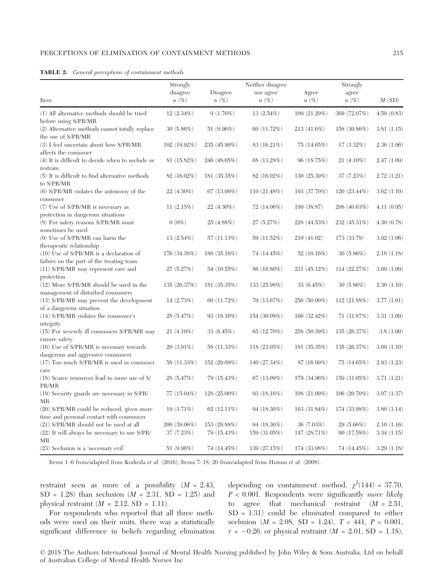| <b>TABLE 2:</b> General perceptions of containment methods |  |  |  |  |  |
|------------------------------------------------------------|--|--|--|--|--|
|------------------------------------------------------------|--|--|--|--|--|

|                                                                                                                   | Strongly                   |                             | Neither disagree           |                           | Strongly                   |                          |
|-------------------------------------------------------------------------------------------------------------------|----------------------------|-----------------------------|----------------------------|---------------------------|----------------------------|--------------------------|
| Item                                                                                                              | disagree<br>$n(\%)$        | Disagree<br>$n(\%)$         | nor agree<br>$n(\%)$       | Agree<br>$n(\%)$          | agree<br>$n(\%)$           | M(SD)                    |
| (1) All alternative methods should be tried                                                                       | $12(2.34\%)$               | 9(1.76%)                    | 13(2.54%)                  | 109 (21.29%)              | 369 (72.07%)               | 4.59(0.83)               |
| before using S/PR/MR                                                                                              |                            |                             |                            |                           |                            |                          |
| (2) Alternative methods cannot totally replace<br>the use of S/PR/MR                                              | 30(5.86%)                  | 51 $(9.96\%)$               | 60 (11.72%)                | $213(41.6\%)$             | 158 (30.86%)               | 3.81(1.15)               |
| (3) I feel uncertain about how S/PR/MR<br>affects the consumer                                                    | 102 (19.92%)               | 235 (45.90%)                | 83 (16.21%)                | 75(14.65%)                | 17(3.32%)                  | 2.36(1.06)               |
| $(4)$ It is difficult to decide when to seclude or<br>restrain                                                    | $81(15.82\%)$              | 246 (48.05%)                | 68 (13.28%)                | 96 (18.75%)               | $21(4.10\%)$               | 2.47(1.09)               |
| (5) It is difficult to find alternative methods<br>to S/PR/MR                                                     | 82 (16.02%)                | 181(35.35%)                 | 82 (16.02%)                | 130 (25.39%)              | 37 (7.23%)                 | 2.72(1.21)               |
| (6) S/PR/MR violates the autonomy of the<br>consumer                                                              | 22 (4.30%)                 | 67 $(13.09\%)$              | 110(21.48%)                | 193 (37.70%)              | 120 (23.44%)               | 3.62(1.10)               |
| (7) Use of S/PR/MR is necessary as                                                                                | 11(2.15%)                  | $22(4.30\%)$                | $72(14.06\%)$              | 199 (38.87)               | 208 (40.63%)               | 4.11(0.95)               |
| protection in dangerous situations<br>(8) For safety reasons S/PR/MR must<br>sometimes be used                    | $0(0\%)$                   | 25(4.88%)                   | 27(5.27%)                  | 228 (44.53%)              | 232 (45.31%)               | 4.30(0.78)               |
| (9) Use of S/PR/MR can harm the                                                                                   | $13(2.54\%)$               | 57(11.13%)                  | 59 (11.52%)                | 210 (41.02)               | 173 (33.79)                | 3.92(1.06)               |
| therapeutic relationship<br>$(10)$ Use of S/PR/MR is a declaration of<br>failure on the part of the treating team | 176 (34.38%)               | 180 (35.16%)                | 74 (14.45%)                | 52(10.16%)                | 30(5.86%)                  | 2.18(1.18)               |
| (11) S/PR/MR may represent care and                                                                               | 27(5.27%)                  | 54 (10.55%)                 | 86 (16.80%)                | 231 (45.12%)              | 114 (22.27%)               | 3.69(1.09)               |
| protection<br>(12) More S/PR/MR should be used in the                                                             | 135(26.37%)                | 181(35.35%)                 | 133 (25.98%)               | 33(6.45%)                 | 30(5.86%)                  | 2.30(1.10)               |
| management of disturbed consumers<br>(13) S/PR/MR may prevent the development                                     | 14 (2.73%)                 | 60(11.72%)                  | 70(13.67%)                 | $256(50.00\%)$            | 112 (21.88%)               | 3.77(1.01)               |
| of a dangerous situation<br>(14) S/PR/MR violates the consumer's                                                  | 28 (5.47%)                 | 93 $(18.16%)$               | 154 (30.08%)               | 166 (32.42%)              | 71(31.87%)                 | 3.31(1.09)               |
| integrity<br>(15) For severely ill consumers S/PR/MR may                                                          | $21(4.10\%)$               | 33 $(6.45%)$                | $65(12.70\%)$              | 258 (50.39%)              | 135(26.37%)                | 3.8(1.00)                |
| ensure safety<br>(16) Use of S/PR/MR is necessary towards                                                         | $20(3.91\%)$               | 58 (11.33%)                 | $118(23.05\%)$             | 181(35.35%)               | 135 (26.37%)               | 3.69(1.10)               |
| dangerous and aggressive consumers<br>(17) Too much S/PR/MR is used in consumer                                   | 58 (11.33%)                | 152 (29.69%)                | 140 (27.34%)               | 87 (16.99%)               | $75(14.65\%)$              | 2.93(1.23)               |
| care<br>(18) Scarce resources lead to more use of S/                                                              | 28(5.47%)                  | 79 (15.43%)                 | $67(13.09\%)$              | 179 (34.96%)              | 159(31.05%)                | 3.71(1.21)               |
| PR/MR<br>(19) Security guards are necessary in S/PR/                                                              | $77(15.04\%)$              | $128(25.00\%)$              | 93(18.16%)                 | 108(21.09%)               | $106(20.70\%)$             | 3.07(1.37)               |
| MR<br>(20) S/PR/MR could be reduced, given more                                                                   | 19 $(3.71\%)$              | 62 $(12.11\%)$              | 94 (18.36%)                | 163 (31.84%)              | 174 (33.98%)               | 3.80(1.14)               |
| time and personal contact with consumers                                                                          |                            |                             |                            |                           |                            |                          |
| (21) S/PR/MR should not be used at all<br>(22) It will always be necessary to use S/PR/                           | 200 (39.06%)<br>37 (7.23%) | 153 (29.88%)<br>79 (15.43%) | 94(18.36%)<br>159 (31.05%) | 36(7.03%)<br>147 (28.71%) | $29(5.66\%)$<br>90(17.58%) | 2.10(1.16)<br>3.34(1.15) |
| MR<br>$(23)$ Seclusion is a 'necessary evil'                                                                      | 51 $(9.96\%)$              | 74 (14.45%)                 | 139 (27.15%)               | 174 (33.98%)              | 74 (14.45%)                | 3.29(1.18)               |

Items 1–6 from/adapted from Korkeila et al. (2016); Items 7–18, 20 from/adapted from Husum et al. (2008).

restraint seen as more of a possibility  $(M = 2.43,$  $SD = 1.28$ ) than seclusion  $(M = 2.31, SD = 1.25)$  and physical restraint  $(M = 2.12, SD = 1.11)$ .

For respondents who reported that all three methods were used on their units, there was a statistically significant difference in beliefs regarding elimination

depending on containment method,  $\chi^2(144) = 37.70$ ,  $P < 0.001$ . Respondents were significantly *more likely* to agree that mechanical restraint  $(M = 2.51,$ SD = 1.31) could be eliminated compared to either seclusion  $(M = 2.08, SD = 1.24), T = 441, P < 0.001,$  $r = -0.26$ , or physical restraint ( $M = 2.01$ , SD = 1.18),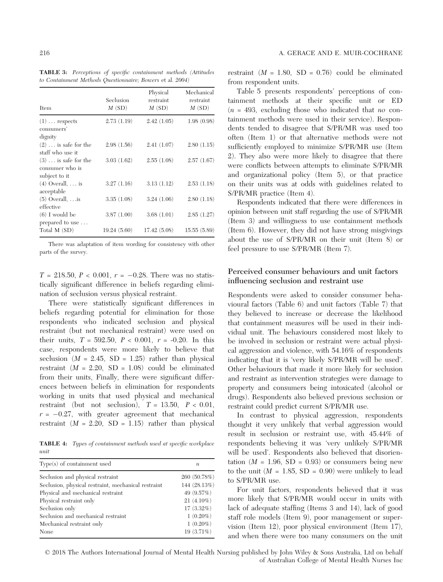TABLE 3: Perceptions of specific containment methods (Attitudes to Containment Methods Questionnaire; Bowers et al. 2004)

| Item                                                     | Seclusion<br>M(SD) | Physical<br>restraint<br>M(SD) | Mechanical<br>restraint<br>M(SD) |
|----------------------------------------------------------|--------------------|--------------------------------|----------------------------------|
| $(1) \ldots$ respects<br>consumers'                      | 2.73(1.19)         | 2.42(1.05)                     | 1.98(0.98)                       |
| dignity                                                  |                    |                                |                                  |
| $(2) \ldots$ is safe for the<br>staff who use it         | 2.98(1.56)         | 2.41(1.07)                     | 2.80(1.15)                       |
| $(3) \ldots$ is safe for the<br>consumer who is          | 3.03(1.62)         | 2.55(1.08)                     | 2.57(1.67)                       |
| subject to it<br>$(4)$ Overall, $\dots$ is<br>acceptable | 3.27(1.16)         | 3.13(1.12)                     | 2.53(1.18)                       |
| $(5)$ Overall,  is<br>effective                          | 3.35(1.08)         | 3.24(1.06)                     | 2.80(1.18)                       |
| $(6)$ I would be<br>prepared to use                      | 3.87(1.00)         | 3.68(1.01)                     | 2.85(1.27)                       |
| Total M (SD)                                             | 19.24(5.60)        | 17.42(5.08)                    | 15.55(5.89)                      |

There was adaptation of item wording for consistency with other parts of the survey.

 $T = 218.50, P < 0.001, r = -0.28$ . There was no statistically significant difference in beliefs regarding elimination of seclusion versus physical restraint.

There were statistically significant differences in beliefs regarding potential for elimination for those respondents who indicated seclusion and physical restraint (but not mechanical restraint) were used on their units,  $T = 592.50$ ,  $P < 0.001$ ,  $r = -0.20$ . In this case, respondents were more likely to believe that seclusion  $(M = 2.45, SD = 1.25)$  rather than physical restraint  $(M = 2.20, SD = 1.08)$  could be eliminated from their units, Finally, there were significant differences between beliefs in elimination for respondents working in units that used physical and mechanical restraint (but not seclusion),  $T = 13.50$ ,  $P < 0.01$ ,  $r = -0.27$ , with greater agreement that mechanical restraint  $(M = 2.20, SD = 1.15)$  rather than physical

TABLE 4: Types of containment methods used at specific workplace unit

| $Type(s)$ of containment used                       | $\boldsymbol{n}$ |
|-----------------------------------------------------|------------------|
| Seclusion and physical restraint                    | 260 (50.78%)     |
| Seclusion, physical restraint, mechanical restraint | 144 (28.13%)     |
| Physical and mechanical restraint                   | 49 (9.57%)       |
| Physical restraint only                             | $21(4.10\%)$     |
| Seclusion only                                      | 17 (3.32%)       |
| Seclusion and mechanical restraint                  | $1(0.20\%)$      |
| Mechanical restraint only                           | $1(0.20\%)$      |
| None                                                | 19 (3.71%)       |

restraint  $(M = 1.80, SD = 0.76)$  could be eliminated from respondent units.

Table 5 presents respondents' perceptions of containment methods at their specific unit or ED  $(n = 493,$  excluding those who indicated that no containment methods were used in their service). Respondents tended to disagree that S/PR/MR was used too often (Item 1) or that alternative methods were not sufficiently employed to minimize S/PR/MR use (Item 2). They also were more likely to disagree that there were conflicts between attempts to eliminate S/PR/MR and organizational policy (Item 5), or that practice on their units was at odds with guidelines related to S/PR/MR practice (Item 4).

Respondents indicated that there were differences in opinion between unit staff regarding the use of S/PR/MR (Item 3) and willingness to use containment methods (Item 6). However, they did not have strong misgivings about the use of S/PR/MR on their unit (Item 8) or feel pressure to use S/PR/MR (Item 7).

## Perceived consumer behaviours and unit factors influencing seclusion and restraint use

Respondents were asked to consider consumer behavioural factors (Table 6) and unit factors (Table 7) that they believed to increase or decrease the likelihood that containment measures will be used in their individual unit. The behaviours considered most likely to be involved in seclusion or restraint were actual physical aggression and violence, with 54.16% of respondents indicating that it is 'very likely S/PR/MR will be used'. Other behaviours that made it more likely for seclusion and restraint as intervention strategies were damage to property and consumers being intoxicated (alcohol or drugs). Respondents also believed previous seclusion or restraint could predict current S/PR/MR use.

In contrast to physical aggression, respondents thought it very unlikely that verbal aggression would result in seclusion or restraint use, with 45.44% of respondents believing it was 'very unlikely S/PR/MR will be used'. Respondents also believed that disorientation  $(M = 1.96, SD = 0.93)$  or consumers being new to the unit  $(M = 1.85, SD = 0.90)$  were unlikely to lead to S/PR/MR use.

For unit factors, respondents believed that it was more likely that S/PR/MR would occur in units with lack of adequate staffing (Items 3 and 14), lack of good staff role models (Item 9), poor management or supervision (Item 12), poor physical environment (Item 17), and when there were too many consumers on the unit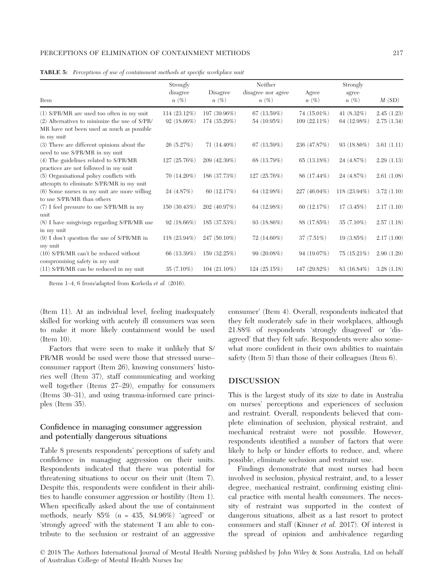#### PERCEPTIONS OF ELIMINATION OF CONTAINMENT METHODS 217

| Item                                                                      | Strongly<br>disagree<br>$n(\%)$ | Disagree<br>$n(\%)$ | Neither<br>disagree nor agree<br>$n(\%)$ | Agree<br>$n(\%)$ | Strongly<br>agree<br>$n(\%)$ | M(SD)      |
|---------------------------------------------------------------------------|---------------------------------|---------------------|------------------------------------------|------------------|------------------------------|------------|
| (1) S/PR/MR are used too often in my unit                                 | $114(23.12\%)$                  | 197 (39.96%)        | 67(13.59%)                               | 74 (15.01%)      | 41 $(8.32\%)$                | 2.45(1.23) |
| $(2)$ Alternatives to minimize the use of S/PR/                           | $92(18.66\%)$                   | 174 (35.29%)        | 54 (10.95%)                              | $109(22.11\%)$   | 64 (12.98%)                  | 2.75(1.34) |
| MR have not been used as much as possible<br>in my unit                   |                                 |                     |                                          |                  |                              |            |
| (3) There are different opinions about the                                | 26(5.27%)                       | $71(14.40\%)$       | 67 (13.59%)                              | 236 (47.87%)     | $93(18.86\%)$                | 3.61(1.11) |
| need to use S/PR/MR in my unit                                            |                                 |                     |                                          |                  |                              |            |
| (4) The guidelines related to S/PR/MR                                     | 127 (25.76%)                    | 209 (42.39%)        | 68 (13.79%)                              | 65(13.18%)       | 24 (4.87%)                   | 2.29(1.13) |
| practices are not followed in my unit                                     |                                 |                     |                                          |                  |                              |            |
| (5) Organisational policy conflicts with                                  | $70(14.20\%)$                   | 186 (37.73%)        | 127 (25.76%)                             | 86 (17.44%)      | 24 (4.87%)                   | 2.61(1.08) |
| attempts to eliminate S/PR/MR in my unit                                  |                                 |                     |                                          |                  |                              |            |
| (6) Some nurses in my unit are more willing<br>to use S/PR/MR than others | 24 (4.87%)                      | 60 $(12.17%)$       | 64 (12.98%)                              | 227 (46.04%)     | 118 (23.94%)                 | 3.72(1.10) |
| $(7)$ I feel pressure to use S/PR/MR in my                                | 150(30.43%)                     | 202 (40.97%)        | 64 (12.98%)                              | 60 $(12.17%)$    | $17(3.45\%)$                 | 2.17(1.10) |
| unit                                                                      |                                 |                     |                                          |                  |                              |            |
| (8) I have misgivings regarding S/PR/MR use                               | $92(18.66\%)$                   | 185 (37.53%)        | 93(18.86%)                               | 88 (17.85%)      | $35(7.10\%)$                 | 2.57(1.18) |
| in my unit                                                                |                                 |                     |                                          |                  |                              |            |
| $(9)$ I don't question the use of S/PR/MR in                              | 118 (23.94%)                    | 247 (50.10%)        | $72(14.60\%)$                            | $37(7.51\%)$     | $19(3.85\%)$                 | 2.17(1.00) |
| my unit                                                                   |                                 |                     |                                          |                  |                              |            |
| (10) S/PR/MR can't be reduced without<br>compromising safety in my unit   | 66 (13.39%)                     | 159 (32.25%)        | 99(20.08%)                               | 94(19.07%)       | $75(15.21\%)$                | 2.90(1.29) |
| (11) S/PR/MR can be reduced in my unit                                    | $35(7.10\%)$                    | $104(21.10\%)$      | 124(25.15%)                              | 147 (29.82%)     | 83 (16.84%)                  | 3.28(1.18) |
|                                                                           |                                 |                     |                                          |                  |                              |            |

|  | TABLE 5: Perceptions of use of containment methods at specific workplace unit |  |  |  |  |  |  |  |  |
|--|-------------------------------------------------------------------------------|--|--|--|--|--|--|--|--|
|--|-------------------------------------------------------------------------------|--|--|--|--|--|--|--|--|

Items 1–4, 6 from/adapted from Korkeila et al. (2016).

(Item 11). At an individual level, feeling inadequately skilled for working with acutely ill consumers was seen to make it more likely containment would be used (Item 10).

Factors that were seen to make it unlikely that S/ PR/MR would be used were those that stressed nurse– consumer rapport (Item 26), knowing consumers' histories well (Item 37), staff communicating and working well together (Items 27–29), empathy for consumers (Items 30–31), and using trauma-informed care principles (Item 35).

## Confidence in managing consumer aggression and potentially dangerous situations

Table 8 presents respondents' perceptions of safety and confidence in managing aggression on their units. Respondents indicated that there was potential for threatening situations to occur on their unit (Item 7). Despite this, respondents were confident in their abilities to handle consumer aggression or hostility (Item 1). When specifically asked about the use of containment methods, nearly  $85\%$  ( $n = 435$ ,  $84.96\%$ ) 'agreed' or 'strongly agreed' with the statement 'I am able to contribute to the seclusion or restraint of an aggressive

consumer' (Item 4). Overall, respondents indicated that they felt moderately safe in their workplaces, although 21.88% of respondents 'strongly disagreed' or 'disagreed' that they felt safe. Respondents were also somewhat more confident in their own abilities to maintain safety (Item 5) than those of their colleagues (Item 6).

## DISCUSSION

This is the largest study of its size to date in Australia on nurses' perceptions and experiences of seclusion and restraint. Overall, respondents believed that complete elimination of seclusion, physical restraint, and mechanical restraint were not possible. However, respondents identified a number of factors that were likely to help or hinder efforts to reduce, and, where possible, eliminate seclusion and restraint use.

Findings demonstrate that most nurses had been involved in seclusion, physical restraint, and, to a lesser degree, mechanical restraint, confirming existing clinical practice with mental health consumers. The necessity of restraint was supported in the context of dangerous situations, albeit as a last resort to protect consumers and staff (Kinner et al. 2017). Of interest is the spread of opinion and ambivalence regarding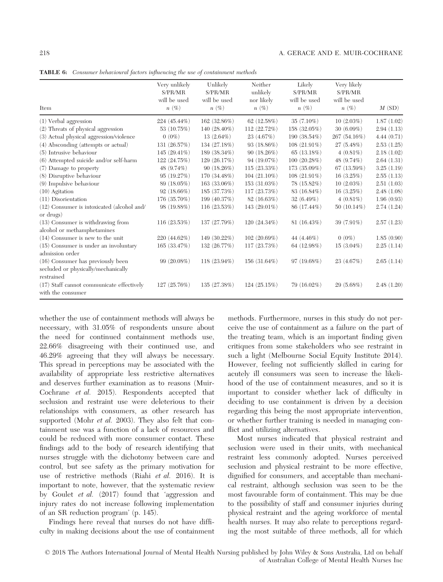| Item                                                                                   | Very unlikely<br>S/PR/MR<br>will be used<br>$n(\%)$ | Unlikely<br>S/PR/MR<br>will be used<br>$n(\%)$ | Neither<br>unlikely<br>nor likely<br>$n(\%)$ | Likely<br>S/PR/MR<br>will be used<br>$n(\%)$ | Very likely<br>S/PR/MR<br>will be used<br>$n(\%)$ | M(SD)      |
|----------------------------------------------------------------------------------------|-----------------------------------------------------|------------------------------------------------|----------------------------------------------|----------------------------------------------|---------------------------------------------------|------------|
| (1) Verbal aggression                                                                  | 224 (45.44%)                                        | 162 (32.86%)                                   | 62(12.58%)                                   | $35(7.10\%)$                                 | 10(2.03%)                                         | 1.87(1.02) |
| (2) Threats of physical aggression                                                     | 53 (10.75%)                                         | 140 $(28.40\%)$                                | 112 (22.72%)                                 | 158 (32.05%)                                 | $30(6.09\%)$                                      | 2.94(1.13) |
| (3) Actual physical aggression/violence                                                | $0(0\%)$                                            | $13(2.64\%)$                                   | 23 (4.67%)                                   | 190 (38.54%)                                 | 267 (54.16%)                                      | 4.44(0.71) |
| (4) Absconding (attempts or actual)                                                    | 131 (26.57%)                                        | 134 (27.18%)                                   | $93(18.86\%)$                                | $108(21.91\%)$                               | $27(5.48\%)$                                      | 2.53(1.25) |
| (5) Intrusive behaviour                                                                | 145 $(29.41\%)$                                     | 189 (38.34%)                                   | $90(18.26\%)$                                | 65(13.18%)                                   | $4(0.81\%)$                                       | 2.18(1.02) |
| (6) Attempted suicide and/or self-harm                                                 | 122 (24.75%)                                        | 129(26.17%)                                    | 94 (19.07%)                                  | 100(20.28%)                                  | 48 (9.74%)                                        | 2.64(1.31) |
| (7) Damage to property                                                                 | 48 (9.74%)                                          | $90(18.26\%)$                                  | 115(23.33%)                                  | 173 (35.09%)                                 | 67(13.59%)                                        | 3.25(1.19) |
| (8) Disruptive behaviour                                                               | 95 (19.27%)                                         | 170 (34.48%)                                   | $104(21.10\%)$                               | 108 (21.91%)                                 | 16(3.25%)                                         | 2.55(1.13) |
| $(9)$ Impulsive behaviour                                                              | 89 (18.05%)                                         | 163 (33.06%)                                   | 153 (31.03%)                                 | 78 (15.82%)                                  | $10(2.03\%)$                                      | 2.51(1.03) |
| $(10)$ Agitation                                                                       | $92(18.66\%)$                                       | 185 (37.73%)                                   | 117 (23.73%)                                 | 83 (16.84%)                                  | 16(3.25%)                                         | 2.48(1.08) |
| $(11)$ Disorientation                                                                  | 176 (35.70%)                                        | 199 (40.37%)                                   | 82 (16.63%)                                  | $32(6.49\%)$                                 | $4(0.81\%)$                                       | 1.96(0.93) |
| (12) Consumer is intoxicated (alcohol and/<br>or drugs)                                | 98 (19.88%)                                         | 116(23.53%)                                    | 143 (29.01%)                                 | 86 (17.44%)                                  | $50(10.14\%)$                                     | 2.74(1.24) |
| (13) Consumer is withdrawing from<br>alcohol or methamphetamines                       | 116(23.53%)                                         | 137 (27.79%)                                   | $120(24.34\%)$                               | $81(16.43\%)$                                | 39 (7.91%)                                        | 2.57(1.23) |
| $(14)$ Consumer is new to the unit                                                     | 220 (44.62%)                                        | 149 (30.22%)                                   | 102(20.69%)                                  | 44 (4.46%)                                   | $0(0\%)$                                          | 1.85(0.90) |
| $(15)$ Consumer is under an involuntary<br>admission order                             | 165 (33.47%)                                        | 132 (26.77%)                                   | 117 (23.73%)                                 | 64 (12.98%)                                  | $15(3.04\%)$                                      | 2.25(1.14) |
| (16) Consumer has previously been<br>secluded or physically/mechanically<br>restrained | 99 (20.08%)                                         | $118(23.94\%)$                                 | 156 (31.64%)                                 | 97 (19.68%)                                  | 23 (4.67%)                                        | 2.65(1.14) |
| (17) Staff cannot communicate effectively<br>with the consumer                         | 127 (25.76%)                                        | 135 (27.38%)                                   | 124(25.15%)                                  | 79 (16.02%)                                  | 29 (5.68%)                                        | 2.48(1.20) |

TABLE 6: Consumer behavioural factors influencing the use of containment methods

whether the use of containment methods will always be necessary, with 31.05% of respondents unsure about the need for continued containment methods use, 22.66% disagreeing with their continued use, and 46.29% agreeing that they will always be necessary. This spread in perceptions may be associated with the availability of appropriate less restrictive alternatives and deserves further examination as to reasons (Muir-Cochrane et al. 2015). Respondents accepted that seclusion and restraint use were deleterious to their relationships with consumers, as other research has supported (Mohr *et al.* 2003). They also felt that containment use was a function of a lack of resources and could be reduced with more consumer contact. These findings add to the body of research identifying that nurses struggle with the dichotomy between care and control, but see safety as the primary motivation for use of restrictive methods (Riahi et al. 2016). It is important to note, however, that the systematic review by Goulet et al. (2017) found that 'aggression and injury rates do not increase following implementation of an SR reduction program' (p. 145).

Findings here reveal that nurses do not have difficulty in making decisions about the use of containment

methods. Furthermore, nurses in this study do not perceive the use of containment as a failure on the part of the treating team, which is an important finding given critiques from some stakeholders who see restraint in such a light (Melbourne Social Equity Institute 2014). However, feeling not sufficiently skilled in caring for acutely ill consumers was seen to increase the likelihood of the use of containment measures, and so it is important to consider whether lack of difficulty in deciding to use containment is driven by a decision regarding this being the most appropriate intervention, or whether further training is needed in managing conflict and utilizing alternatives.

Most nurses indicated that physical restraint and seclusion were used in their units, with mechanical restraint less commonly adopted. Nurses perceived seclusion and physical restraint to be more effective, dignified for consumers, and acceptable than mechanical restraint, although seclusion was seen to be the most favourable form of containment. This may be due to the possibility of staff and consumer injuries during physical restraint and the ageing workforce of mental health nurses. It may also relate to perceptions regarding the most suitable of three methods, all for which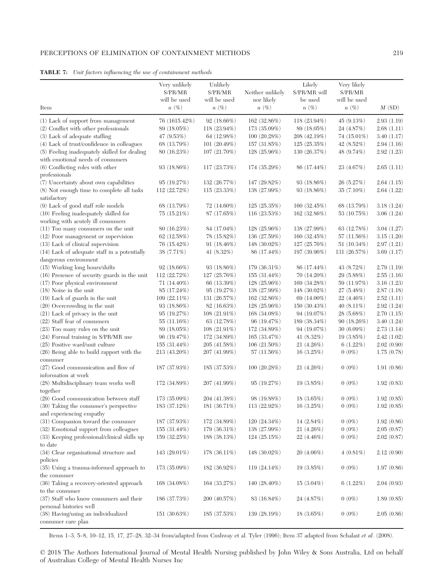#### PERCEPTIONS OF ELIMINATION OF CONTAINMENT METHODS 219

|                                                                             | Very unlikely   | Unlikely        |                  | Likely          | Very likely   |            |
|-----------------------------------------------------------------------------|-----------------|-----------------|------------------|-----------------|---------------|------------|
|                                                                             | S/PR/MR         | S/PR/MR         | Neither unlikely | S/PR/MR will    | S/PR/MR       |            |
|                                                                             | will be used    | will be used    | nor likely       | be used         | will be used  |            |
| Item                                                                        | $n(\%)$         | $n(\%)$         | $n(\%)$          | $n(\%)$         | $n(\%)$       | M(SD)      |
| (1) Lack of support from management                                         | 76 (1615.42%)   | 92 (18.66%)     | 162(32.86%)      | $118(23.94\%)$  | 45(9.13%)     | 2.93(1.19) |
| (2) Conflict with other professionals                                       | 89 (18.05%)     | $118(23.94\%)$  | 173 (35.09%)     | 89 (18.05%)     | 24 (4.87%)    | 2.68(1.11) |
| (3) Lack of adequate staffing                                               | 47 (9.53%)      | 64 (12.98%)     | 100(20.28%)      | 208 (42.19%)    | $74(15.01\%)$ | 3.40(1.17) |
| (4) Lack of trust/confidence in colleagues                                  | 68 (13.79%)     | 101 $(20.49%)$  | 157(31.85%)      | 125(25.35%)     | $42(8.52\%)$  | 2.94(1.16) |
| (5) Feeling inadequately skilled for dealing                                | 80(16.23%)      | $107(21.70\%)$  | 128 (25.96%)     | 130 $(26.37%)$  | 48 (9.74%)    | 2.92(1.23) |
| with emotional needs of consumers                                           |                 |                 |                  |                 |               |            |
| (6) Conflicting roles with other                                            | 93 $(18.86%)$   | 117 (23.73%)    | 174 (35.29%)     | 86 (17.44%)     | 23 (4.67%)    | 2.65(1.11) |
| professionals                                                               |                 |                 |                  |                 |               |            |
| (7) Uncertainty about own capabilities                                      | 95(19.27%)      | 132 (26.77%)    | 147 (29.82%)     | 93(18.86%)      | 26 (5.27%)    | 2.64(1.15) |
| (8) Not enough time to complete all tasks                                   | 112 (22.72%)    | 115(23.33%)     | 138 (27.99%)     | 93 $(18.86\%)$  | 35 (7.10%)    | 2.64(1.22) |
| satisfactory                                                                |                 |                 |                  |                 |               |            |
| (9) Lack of good staff role models                                          | 68 (13.79%)     | $72(14.60\%)$   | 125(25.35%)      | 160 $(32.45%)$  | 68 (13.79%)   | 3.18(1.24) |
| (10) Feeling inadequately skilled for<br>working with acutely ill consumers | 75(15.21%)      | 87 (17.65%)     | 116 $(23.53%)$   | 162(32.86%)     | 53 (10.75%)   | 3.06(1.24) |
| (11) Too many consumers on the unit                                         | 80(16.23%)      | 84 (17.04%)     | 128 (25.96%)     | 138 (27.99%)    | 63 (12.78%)   | 3.04(1.27) |
| (12) Poor management or supervision                                         | 62(12.58%)      | 78 (15.82%)     | 136 (27.59%)     | 160 $(32.45%)$  | 57 (11.56%)   | 3.15(1.20) |
| (13) Lack of clinical supervision                                           | 76 (15.42%)     | 91 $(18.46\%)$  | 148 (30.02%)     | 127 (25.76%)    | 51 $(10.34%)$ | 2.97(1.21) |
| (14) Lack of adequate staff in a potentially                                | 38 (7.71%)      | 41 $(8.32\%)$   | 86 (17.44%)      | 197 (39.96%)    | 131 (26.57%)  | 3.69(1.17) |
| dangerous environment                                                       |                 |                 |                  |                 |               |            |
| (15) Working long hours/shifts                                              | $92(18.66\%)$   | 93(18.86%)      | 179 (36.31%)     | 86 (17.44%)     | 43 (8.72%)    | 2.79(1.19) |
| (16) Presence of security guards in the unit                                | 112 (22.72%)    | 127(25.76%)     | 155 $(31.44\%)$  | $70(14.20\%)$   | 29 (5.88%)    | 2.55(1.16) |
| (17) Poor physical environment                                              | $71(14.40\%)$   | 66 (13.39%)     | $128(25.96\%)$   | 169 (34.28%)    | 59 (11.97%)   | 3.16(1.23) |
| $(18)$ Noise in the unit                                                    | 85 (17.24%)     | 95(19.27%)      | 138 (27.99%)     | 148 $(30.02\%)$ | 27(5.48%)     | 2.87(1.18) |
| (19) Lack of guards in the unit                                             | $109(22.11\%)$  | 131 (26.57%)    | 162(32.86%)      | 69 (14.00%)     | $22(4.46\%)$  | 2.52(1.11) |
| $(20)$ Overcrowding in the unit                                             | 93 $(18.86%)$   | 82(16.63%)      | 128 (25.96%)     | 150(30.43%)     | 40 $(8.11\%)$ | 2.92(1.24) |
| (21) Lack of privacy in the unit                                            | 95(19.27%)      | $108(21.91\%)$  | 168 (34.08%)     | 94(19.07%)      | $28(5.68\%)$  | 2.70(1.15) |
| (22) Staff fear of consumers                                                | 55 $(11.16%)$   | 63 (12.78%)     | 96 (19.47%)      | 189 (38.34%)    | 90(18.26%)    | 3.40(1.24) |
| (23) Too many rules on the unit                                             | 89 (18.05%)     | $108(21.91\%)$  | 172 (34.89%)     | 94 (19.07%)     | 30(6.09%)     | 2.73(1.14) |
| (24) Formal training in S/PR/MR use                                         | 96 (19.47%)     | 172 (34.89%)    | 165 (33.47%)     | 41 $(8.32\%)$   | 19 $(3.85%)$  | 2.42(1.02) |
| (25) Positive ward/unit culture                                             | 155 $(31.44\%)$ | 205 (41.58%)    | $106(21.50\%)$   | 21(4.26%)       | 6(1.22%)      | 2.02(0.90) |
| (26) Being able to build rapport with the                                   | 213 (43.20%)    | 207 (41.99%)    | 57(11.56%)       | 16(3.25%)       | $0(0\%)$      | 1.75(0.78) |
| consumer                                                                    |                 |                 |                  |                 |               |            |
| (27) Good communication and flow of<br>information at work                  | 187 (37.93%)    | 185(37.53%)     | 100(20.28%)      | 21(4.26%)       | $0(0\%)$      | 1.91(0.86) |
| (28) Multidisciplinary team works well                                      | 172 (34.89%)    | 207 (41.99%)    | 95(19.27%)       | 19(3.85%)       | $0(0\%)$      | 1.92(0.83) |
| together                                                                    |                 |                 |                  |                 |               |            |
| (29) Good communication between staff                                       | 173 (35.09%)    | 204 (41.38%)    | 98 (19.88%)      | $18(3.65\%)$    | $0(0\%)$      | 1.92(0.85) |
| (30) Taking the consumer's perspective                                      | 183 (37.12%)    | 181 (36.71%)    | $113(22.92\%)$   | 16(3.25%)       | $0(0\%)$      | 1.92(0.85) |
| and experiencing empathy                                                    |                 |                 |                  |                 |               |            |
| (31) Compassion toward the consumer                                         | 187 (37.93%)    | 172(34.89%)     | 120(24.34%)      | $14(2.84\%)$    | $0(0\%)$      | 1.92(0.86) |
| (32) Emotional support from colleagues                                      | 155 $(31.44\%)$ | 179 (36.31%)    | 138 (27.99%)     | 21(4.26%)       | $0(0\%)$      | 2.05(0.87) |
| (33) Keeping professional/clinical skills up                                | 159 (32.25%)    | 188 (38.13%)    | 124(25.15%)      | $22(4.46\%)$    | $0(0\%)$      | 2.02(0.87) |
| to date                                                                     |                 |                 |                  |                 |               |            |
| (34) Clear organisational structure and                                     | 143 $(29.01\%)$ | 178 $(36.11\%)$ | 148 $(30.02\%)$  | $20(4.06\%)$    | $4(0.81\%)$   | 2.12(0.90) |
| policies                                                                    |                 |                 |                  |                 |               |            |
| (35) Using a trauma-informed approach to                                    | 173 (35.09%)    | 182 (36.92%)    | $119(24.14\%)$   | 19(3.85%)       | $0(0\%)$      | 1.97(0.86) |
| the consumer                                                                |                 |                 |                  |                 |               |            |
| (36) Taking a recovery-oriented approach                                    | 168 (34.08%)    | 164(33.27%)     | 140 $(28.40\%)$  | $15(3.04\%)$    | 6(1.22%)      | 2.04(0.93) |
| to the consumer                                                             |                 |                 |                  |                 |               |            |
| (37) Staff who know consumers and their<br>personal histories well          | 186 (37.73%)    | 200(40.57%)     | 83 (16.84%)      | 24 (4.87%)      | $0(0\%)$      | 1.89(0.85) |
| (38) Having/using an individualized                                         | 151 $(30.63%)$  | 185 (37.53%)    | 139 (28.19%)     | $18(3.65\%)$    | $0(0\%)$      | 2.05(0.86) |
| consumer care plan                                                          |                 |                 |                  |                 |               |            |

TABLE 7: Unit factors influencing the use of containment methods

Items 1–3, 5–8, 10–12, 15, 17, 27–28, 32–34 from/adapted from Cushway et al. Tyler (1996); Item 37 adapted from Schalast et al. (2008).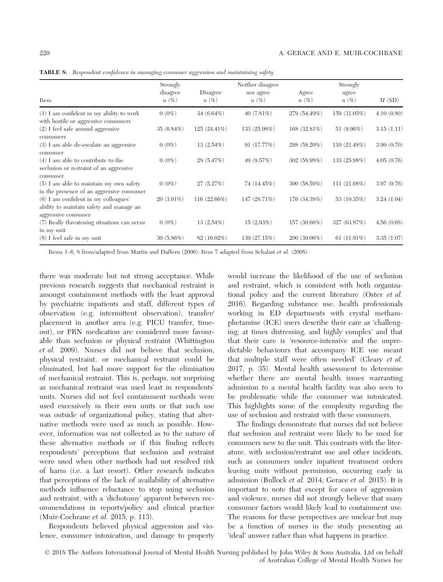|                                                                                        | Strongly<br>disagree | Disagree       | Neither disagree<br>nor agree | Agree        | Strongly<br>agree |            |
|----------------------------------------------------------------------------------------|----------------------|----------------|-------------------------------|--------------|-------------------|------------|
| Item                                                                                   | $n(\%)$              | $n(\%)$        | $n(\%)$                       | $n(\%)$      | $n(\%)$           | M(SD)      |
| $(1)$ I am confident in my ability to work<br>with hostile or aggressive consumers     | $0(0\%)$             | $34(6.64\%)$   | 40 $(7.81\%)$                 | 279 (54.49%) | 159 (31.05%)      | 4.10(0.80) |
| $(2)$ I feel safe around aggressive<br>consumers                                       | 35 $(6.84\%)$        | $125(24.41\%)$ | 133 (25.98%)                  | 168(32.81%)  | 51 $(9.96\%)$     | 3.15(1.11) |
| (3) I am able de-escalate an aggressive<br>consumer                                    | $0(0\%)$             | 13(2.54%)      | 91(17.77%)                    | 298 (58.20%) | 110(21.48%)       | 3.99(0.70) |
| $(4)$ I am able to contribute to the<br>seclusion or restraint of an aggressive        | $0(0\%)$             | 28(5.47%)      | 49 $(9.57%)$                  | 302 (58.98%) | 133 (25.98%)      | 4.05(0.76) |
| consumer                                                                               |                      |                |                               |              |                   |            |
| $(5)$ I am able to maintain my own safety<br>in the presence of an aggressive consumer | $0(0\%)$             | 27(5.27%)      | 74 (14.45%)                   | 300 (58.59%) | 111(21.68%)       | 3.97(0.76) |
| (6) I am confident in my colleagues'<br>ability to maintain safety and manage an       | $20(3.91\%)$         | 116 (22.66%)   | 147 (28.71%)                  | 176 (34.38%) | 53 $(10.35%)$     | 3.24(1.04) |
| aggressive consumer                                                                    |                      |                |                               |              |                   |            |
| (7) Really threatening situations can occur                                            | $0(0\%)$             | $13(2.54\%)$   | 15(2.93%)                     | 157 (30.66%) | 327 (63.87%)      | 4.56(0.68) |
| in my unit<br>$(8)$ I feel safe in my unit                                             | 30(5.86%)            | $82(16.02\%)$  | 139(27.15%)                   | 200(39.06%)  | 61 $(11.91\%)$    | 3.35(1.07) |

TABLE 8: Respondent confidence in managing consumer aggression and maintaining safety

Items 1–6, 8 from/adapted from Martin and Daffern (2006); Item 7 adapted from Schalast et al. (2008).

there was moderate but not strong acceptance. While previous research suggests that mechanical restraint is amongst containment methods with the least approval by psychiatric inpatients and staff, different types of observation (e.g. intermittent observation), transfer/ placement in another area (e.g. PICU transfer, timeout), or PRN medication are considered more favourable than seclusion or physical restraint (Whittington et al. 2009). Nurses did not believe that seclusion, physical restraint, or mechanical restraint could be eliminated, but had more support for the elimination of mechanical restraint. This is, perhaps, not surprising as mechanical restraint was used least in respondents' units. Nurses did not feel containment methods were used excessively in their own units or that such use was outside of organizational policy, stating that alternative methods were used as much as possible. However, information was not collected as to the nature of these alternative methods or if this finding reflects respondents' perceptions that seclusion and restraint were used when other methods had not resolved risk of harm (i.e. a last resort). Other research indicates that perceptions of the lack of availability of alternative methods influence reluctance to stop using seclusion and restraint, with a 'dichotomy' apparent between recommendations in reports/policy and clinical practice (Muir-Cochrane et al. 2015, p. 113).

Respondents believed physical aggression and violence, consumer intoxication, and damage to property would increase the likelihood of the use of seclusion and restraint, which is consistent with both organizational policy and the current literature (Oster et al. 2016). Regarding substance use, health professionals working in ED departments with crystal methamphetamine (ICE) users describe their care as 'challenging; at times distressing, and highly complex' and that that their care is 'resource-intensive and the unpredictable behaviours that accompany ICE use meant that multiple staff were often needed' (Cleary et al. 2017, p. 35). Mental health assessment to determine whether there are mental health issues warranting admission to a mental health facility was also seen to be problematic while the consumer was intoxicated. This highlights some of the complexity regarding the use of seclusion and restraint with these consumers.

The findings demonstrate that nurses did not believe that seclusion and restraint were likely to be used for consumers new to the unit. This contrasts with the literature, with seclusion/restraint use and other incidents, such as consumers under inpatient treatment orders leaving units without permission, occurring early in admission (Bullock et al. 2014; Gerace et al. 2015). It is important to note that except for cases of aggression and violence, nurses did not strongly believe that many consumer factors would likely lead to containment use. The reasons for these perspectives are unclear but may be a function of nurses in the study presenting an 'ideal' answer rather than what happens in practice.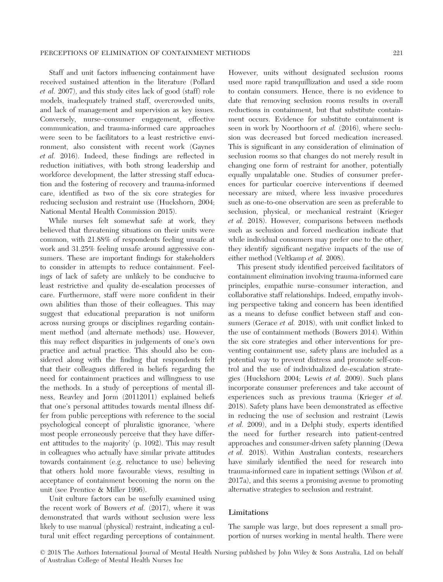Staff and unit factors influencing containment have received sustained attention in the literature (Pollard et al. 2007), and this study cites lack of good (staff) role models, inadequately trained staff, overcrowded units, and lack of management and supervision as key issues. Conversely, nurse–consumer engagement, effective communication, and trauma-informed care approaches were seen to be facilitators to a least restrictive environment, also consistent with recent work (Gaynes et al. 2016). Indeed, these findings are reflected in reduction initiatives, with both strong leadership and workforce development, the latter stressing staff education and the fostering of recovery and trauma-informed care, identified as two of the six core strategies for reducing seclusion and restraint use (Huckshorn, 2004; National Mental Health Commission 2015).

While nurses felt somewhat safe at work, they believed that threatening situations on their units were common, with 21.88% of respondents feeling unsafe at work and 31.25% feeling unsafe around aggressive consumers. These are important findings for stakeholders to consider in attempts to reduce containment. Feelings of lack of safety are unlikely to be conducive to least restrictive and quality de-escalation processes of care. Furthermore, staff were more confident in their own abilities than those of their colleagues. This may suggest that educational preparation is not uniform across nursing groups or disciplines regarding containment method (and alternate methods) use. However, this may reflect disparities in judgements of one's own practice and actual practice. This should also be considered along with the finding that respondents felt that their colleagues differed in beliefs regarding the need for containment practices and willingness to use the methods. In a study of perceptions of mental illness, Reavley and Jorm (20112011) explained beliefs that one's personal attitudes towards mental illness differ from public perceptions with reference to the social psychological concept of pluralistic ignorance, 'where most people erroneously perceive that they have different attitudes to the majority' (p. 1092). This may result in colleagues who actually have similar private attitudes towards containment (e.g. reluctance to use) believing that others hold more favourable views, resulting in acceptance of containment becoming the norm on the unit (see Prentice & Miller 1996).

Unit culture factors can be usefully examined using the recent work of Bowers et al. (2017), where it was demonstrated that wards without seclusion were less likely to use manual (physical) restraint, indicating a cultural unit effect regarding perceptions of containment.

However, units without designated seclusion rooms used more rapid tranquillization and used a side room to contain consumers. Hence, there is no evidence to date that removing seclusion rooms results in overall reductions in containment, but that substitute containment occurs. Evidence for substitute containment is seen in work by Noorthoorn et al. (2016), where seclusion was decreased but forced medication increased. This is significant in any consideration of elimination of seclusion rooms so that changes do not merely result in changing one form of restraint for another, potentially equally unpalatable one. Studies of consumer preferences for particular coercive interventions if deemed necessary are mixed, where less invasive procedures such as one-to-one observation are seen as preferable to seclusion, physical, or mechanical restraint (Krieger et al. 2018). However, comparisons between methods such as seclusion and forced medication indicate that while individual consumers may prefer one to the other, they identify significant negative impacts of the use of either method (Veltkamp et al. 2008).

This present study identified perceived facilitators of containment elimination involving trauma-informed care principles, empathic nurse–consumer interaction, and collaborative staff relationships. Indeed, empathy involving perspective taking and concern has been identified as a means to defuse conflict between staff and consumers (Gerace *et al.* 2018), with unit conflict linked to the use of containment methods (Bowers 2014). Within the six core strategies and other interventions for preventing containment use, safety plans are included as a potential way to prevent distress and promote self-control and the use of individualized de-escalation strategies (Huckshorn 2004; Lewis et al. 2009). Such plans incorporate consumer preferences and take account of experiences such as previous trauma (Krieger et al. 2018). Safety plans have been demonstrated as effective in reducing the use of seclusion and restraint (Lewis et al. 2009), and in a Delphi study, experts identified the need for further research into patient-centred approaches and consumer-driven safety planning (Dewa et al. 2018). Within Australian contexts, researchers have similarly identified the need for research into trauma-informed care in inpatient settings (Wilson et al. 2017a), and this seems a promising avenue to promoting alternative strategies to seclusion and restraint.

## Limitations

The sample was large, but does represent a small proportion of nurses working in mental health. There were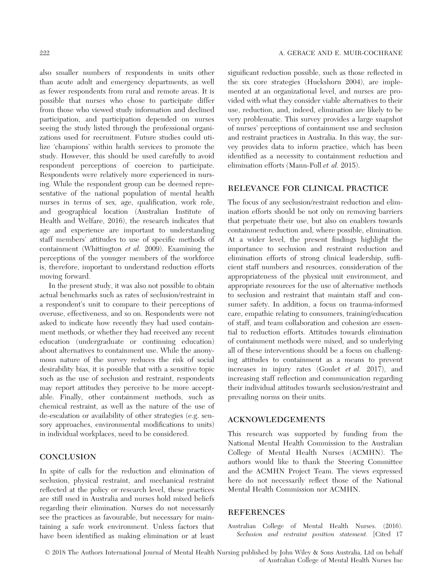also smaller numbers of respondents in units other than acute adult and emergency departments, as well as fewer respondents from rural and remote areas. It is possible that nurses who chose to participate differ from those who viewed study information and declined participation, and participation depended on nurses seeing the study listed through the professional organizations used for recruitment. Future studies could utilize 'champions' within health services to promote the study. However, this should be used carefully to avoid respondent perceptions of coercion to participate. Respondents were relatively more experienced in nursing. While the respondent group can be deemed representative of the national population of mental health nurses in terms of sex, age, qualification, work role, and geographical location (Australian Institute of Health and Welfare, 2016), the research indicates that age and experience are important to understanding staff members' attitudes to use of specific methods of containment (Whittington et al. 2009). Examining the perceptions of the younger members of the workforce is, therefore, important to understand reduction efforts moving forward.

In the present study, it was also not possible to obtain actual benchmarks such as rates of seclusion/restraint in a respondent's unit to compare to their perceptions of overuse, effectiveness, and so on. Respondents were not asked to indicate how recently they had used containment methods, or whether they had received any recent education (undergraduate or continuing education) about alternatives to containment use. While the anonymous nature of the survey reduces the risk of social desirability bias, it is possible that with a sensitive topic such as the use of seclusion and restraint, respondents may report attitudes they perceive to be more acceptable. Finally, other containment methods, such as chemical restraint, as well as the nature of the use of de-escalation or availability of other strategies (e.g. sensory approaches, environmental modifications to units) in individual workplaces, need to be considered.

## **CONCLUSION**

In spite of calls for the reduction and elimination of seclusion, physical restraint, and mechanical restraint reflected at the policy or research level, these practices are still used in Australia and nurses hold mixed beliefs regarding their elimination. Nurses do not necessarily see the practices as favourable, but necessary for maintaining a safe work environment. Unless factors that have been identified as making elimination or at least

significant reduction possible, such as those reflected in the six core strategies (Huckshorn 2004), are implemented at an organizational level, and nurses are provided with what they consider viable alternatives to their use, reduction, and, indeed, elimination are likely to be very problematic. This survey provides a large snapshot of nurses' perceptions of containment use and seclusion and restraint practices in Australia. In this way, the survey provides data to inform practice, which has been identified as a necessity to containment reduction and elimination efforts (Mann-Poll et al. 2015).

## RELEVANCE FOR CLINICAL PRACTICE

The focus of any seclusion/restraint reduction and elimination efforts should be not only on removing barriers that perpetuate their use, but also on enablers towards containment reduction and, where possible, elimination. At a wider level, the present findings highlight the importance to seclusion and restraint reduction and elimination efforts of strong clinical leadership, sufficient staff numbers and resources, consideration of the appropriateness of the physical unit environment, and appropriate resources for the use of alternative methods to seclusion and restraint that maintain staff and consumer safety. In addition, a focus on trauma-informed care, empathic relating to consumers, training/education of staff, and team collaboration and cohesion are essential to reduction efforts. Attitudes towards elimination of containment methods were mixed, and so underlying all of these interventions should be a focus on challenging attitudes to containment as a means to prevent increases in injury rates (Goulet et al. 2017), and increasing staff reflection and communication regarding their individual attitudes towards seclusion/restraint and prevailing norms on their units.

#### ACKNOWLEDGEMENTS

This research was supported by funding from the National Mental Health Commission to the Australian College of Mental Health Nurses (ACMHN). The authors would like to thank the Steering Committee and the ACMHN Project Team. The views expressed here do not necessarily reflect those of the National Mental Health Commission nor ACMHN.

#### **REFERENCES**

Australian College of Mental Health Nurses. (2016). Seclusion and restraint position statement. [Cited 17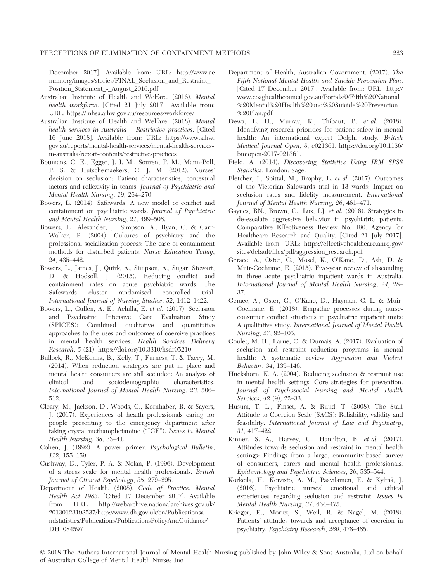#### PERCEPTIONS OF ELIMINATION OF CONTAINMENT METHODS 223

December 2017]. Available from: URL: [http://www.ac](http://www.acmhn.org/images/stories/FINAL_Seclusion_and_Restraint_Position_Statement_-_August_2016.pdf) [mhn.org/images/stories/FINAL\\_Seclusion\\_and\\_Restraint\\_](http://www.acmhn.org/images/stories/FINAL_Seclusion_and_Restraint_Position_Statement_-_August_2016.pdf) [Position\\_Statement\\_-\\_August\\_2016.pdf](http://www.acmhn.org/images/stories/FINAL_Seclusion_and_Restraint_Position_Statement_-_August_2016.pdf)

- Australian Institute of Health and Welfare. (2016). Mental health workforce. [Cited 21 July 2017]. Available from: URL:<https://mhsa.aihw.gov.au/resources/workforce/>
- Australian Institute of Health and Welfare. (2018). Mental health services in Australia – Restrictive practices. [Cited 16 June 2018]. Available from: URL: [https://www.aihw.](https://www.aihw.gov.au/reports/mental-health-services/mental-health-services-in-australia/report-contents/restrictive-practices) [gov.au/reports/mental-health-services/mental-health-services](https://www.aihw.gov.au/reports/mental-health-services/mental-health-services-in-australia/report-contents/restrictive-practices)[in-australia/report-contents/restrictive-practices](https://www.aihw.gov.au/reports/mental-health-services/mental-health-services-in-australia/report-contents/restrictive-practices)
- Boumans, C. E., Egger, J. I. M., Souren, P. M., Mann-Poll, P. S. & Hutschemaekers, G. J. M. (2012). Nurses' decision on seclusion: Patient characteristics, contextual factors and reflexivity in teams. Journal of Psychiatric and Mental Health Nursing, 19, 264–270.
- Bowers, L. (2014). Safewards: A new model of conflict and containment on psychiatric wards. Journal of Psychiatric and Mental Health Nursing, 21, 499–508.
- Bowers, L., Alexander, J., Simpson, A., Ryan, C. & Carr-Walker, P. (2004). Cultures of psychiatry and the professional socialization process: The case of containment methods for disturbed patients. Nurse Education Today, 24, 435–442.
- Bowers, L., James, J., Quirk, A., Simpson, A., Sugar, Stewart, D. & Hodsoll, J. (2015). Reducing conflict and containment rates on acute psychiatric wards: The Safewards cluster randomised controlled trial. International Journal of Nursing Studies, 52, 1412–1422.
- Bowers, L., Cullen, A. E., Achilla, E. et al. (2017). Seclusion and Psychiatric Intensive Care Evaluation Study (SPICES): Combined qualitative and quantitative approaches to the uses and outcomes of coercive practices in mental health services. Health Services Delivery Research, 5 (21).<https://doi.org/10.3310/hsdr05210>
- Bullock, R., McKenna, B., Kelly, T., Furness, T. & Tacey, M. (2014). When reduction strategies are put in place and mental health consumers are still secluded: An analysis of clinical and sociodemographic characteristics. International Journal of Mental Health Nursing, 23, 506– 512.
- Cleary, M., Jackson, D., Woods, C., Kornhaber, R. & Sayers, J. (2017). Experiences of health professionals caring for people presenting to the emergency department after taking crystal methamphetamine ("ICE"). Issues in Mental Health Nursing, 38, 33–41.
- Cohen, J. (1992). A power primer. Psychological Bulletin, 112, 155–159.
- Cushway, D., Tyler, P. A. & Nolan, P. (1996). Development of a stress scale for mental health professionals. British Journal of Clinical Psychology, 35, 279–295.
- Department of Health. (2008). Code of Practice: Mental Health Act 1983. [Cited 17 December 2017]. Available from: URL: [http://webarchive.nationalarchives.gov.uk/](http://webarchive.nationalarchives.gov.uk/20130123193537/http://www.dh.gov.uk/en/Publicationsandstatistics/Publications/PublicationsPolicyAndGuidance/DH_084597) [20130123193537/http://www.dh.gov.uk/en/Publicationsa](http://webarchive.nationalarchives.gov.uk/20130123193537/http://www.dh.gov.uk/en/Publicationsandstatistics/Publications/PublicationsPolicyAndGuidance/DH_084597) [ndstatistics/Publications/PublicationsPolicyAndGuidance/](http://webarchive.nationalarchives.gov.uk/20130123193537/http://www.dh.gov.uk/en/Publicationsandstatistics/Publications/PublicationsPolicyAndGuidance/DH_084597) [DH\\_084597](http://webarchive.nationalarchives.gov.uk/20130123193537/http://www.dh.gov.uk/en/Publicationsandstatistics/Publications/PublicationsPolicyAndGuidance/DH_084597)
- Department of Health, Australian Government. (2017). The Fifth National Mental Health and Suicide Prevention Plan. [Cited 17 December 2017]. Available from: URL: [http://](http://www.coaghealthcouncil.gov.au/Portals/0/Fifth%20National%20Mental%20Health%20and%20Suicide%20Prevention%20Plan.pdf) [www.coaghealthcouncil.gov.au/Portals/0/Fifth%20National](http://www.coaghealthcouncil.gov.au/Portals/0/Fifth%20National%20Mental%20Health%20and%20Suicide%20Prevention%20Plan.pdf) [%20Mental%20Health%20and%20Suicide%20Prevention](http://www.coaghealthcouncil.gov.au/Portals/0/Fifth%20National%20Mental%20Health%20and%20Suicide%20Prevention%20Plan.pdf) [%20Plan.pdf](http://www.coaghealthcouncil.gov.au/Portals/0/Fifth%20National%20Mental%20Health%20and%20Suicide%20Prevention%20Plan.pdf)
- Dewa, L. H., Murray, K., Thibaut, B. et al. (2018). Identifying research priorities for patient safety in mental health: An international expert Delphi study. British Medical Journal Open, 8, e021361. [https://doi.org/10.1136/](https://doi.org/10.1136/bmjopen-2017-021361) [bmjopen-2017-021361.](https://doi.org/10.1136/bmjopen-2017-021361)
- Field, A. (2014). Discovering Statistics Using IBM SPSS Statistics. London: Sage.
- Fletcher, J., Spittal, M., Brophy, L. et al. (2017). Outcomes of the Victorian Safewards trial in 13 wards: Impact on seclusion rates and fidelity measurement. International Journal of Mental Health Nursing, 26, 461–471.
- Gaynes, BN., Brown, C., Lux, LJ. et al. (2016). Strategies to de-escalate aggressive behavior in psychiatric patients. Comparative Effectiveness Review No. 180. Agency for Healthcare Research and Quality. [Cited 21 July 2017]. Available from: URL: [https://effectivehealthcare.ahrq.gov/](https://effectivehealthcare.ahrq.gov/sites/default/files/pdf/aggression_research.pdf) [sites/default/files/pdf/aggression\\_research.pdf](https://effectivehealthcare.ahrq.gov/sites/default/files/pdf/aggression_research.pdf)
- Gerace, A., Oster, C., Mosel, K., O'Kane, D., Ash, D. & Muir-Cochrane, E. (2015). Five-year review of absconding in three acute psychiatric inpatient wards in Australia. International Journal of Mental Health Nursing, 24, 28– 37.
- Gerace, A., Oster, C., O'Kane, D., Hayman, C. L. & Muir-Cochrane, E. (2018). Empathic processes during nurseconsumer conflict situations in psychiatric inpatient units: A qualitative study. International Journal of Mental Health Nursing, 27, 92–105.
- Goulet, M. H., Larue, C. & Dumais, A. (2017). Evaluation of seclusion and restraint reduction programs in mental health: A systematic review. Aggression and Violent Behavior, 34, 139–146.
- Huckshorn, K. A. (2004). Reducing seclusion & restraint use in mental health settings: Core strategies for prevention. Journal of Psychosocial Nursing and Mental Health Services, 42 (9), 22–33.
- Husum, T. L., Finset, A. & Ruud, T. (2008). The Staff Attitude to Coercion Scale (SACS): Reliability, validity and feasibility. International Journal of Law and Psychiatry, 31, 417–422.
- Kinner, S. A., Harvey, C., Hamilton, B. et al. (2017). Attitudes towards seclusion and restraint in mental health settings: Findings from a large, community-based survey of consumers, carers and mental health professionals. Epidemiology and Psychiatric Sciences, 26, 535–544.
- Korkeila, H., Koivisto, A. M., Paavilainen, E. & Kylmä, J. (2016). Psychiatric nurses' emotional and ethical experiences regarding seclusion and restraint. Issues in Mental Health Nursing, 37, 464–475.
- Krieger, E., Moritz, S., Weil, R. & Nagel, M. (2018). Patients' attitudes towards and acceptance of coercion in psychiatry. Psychiatry Research, 260, 478–485.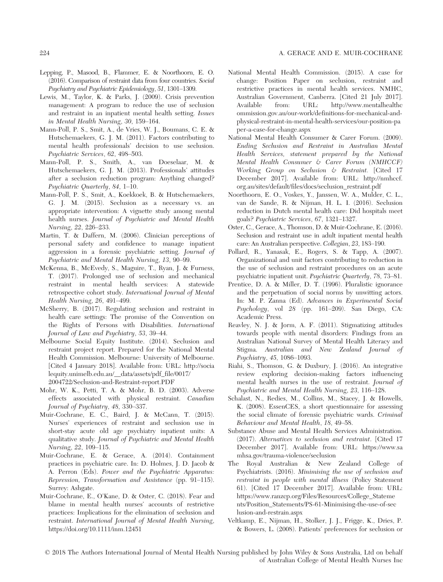#### 224 A. GERACE AND E. MUIR-COCHRANE

- Lepping, P., Masood, B., Flammer, E. & Noorthoorn, E. O. (2016). Comparison of restraint data from four countries. Social Psychiatry and Psychiatric Epidemiology, 51, 1301–1309.
- Lewis, M., Taylor, K. & Parks, J. (2009). Crisis prevention management: A program to reduce the use of seclusion and restraint in an inpatient mental health setting. Issues in Mental Health Nursing, 30, 159–164.
- Mann-Poll, P. S., Smit, A., de Vries, W. J., Boumans, C. E. & Hutschemaekers, G. J. M. (2011). Factors contributing to mental health professionals' decision to use seclusion. Psychiatric Services, 62, 498–503.
- Mann-Poll, P. S., Smith, A., van Doeselaar, M. & Hutschemaekers, G. J. M. (2013). Professionals' attitudes after a seclusion reduction program: Anything changed? Psychiatric Quarterly, 84, 1–10.
- Mann-Poll, P. S., Smit, A., Koekkoek, B. & Hutschemaekers, G. J. M. (2015). Seclusion as a necessary vs. an appropriate intervention: A vignette study among mental health nurses. Journal of Psychiatric and Mental Health Nursing, 22, 226–233.
- Martin, T. & Daffern, M. (2006). Clinician perceptions of personal safety and confidence to manage inpatient aggression in a forensic psychiatric setting. Journal of Psychiatric and Mental Health Nursing, 13, 90–99.
- McKenna, B., McEvedy, S., Maguire, T., Ryan, J. & Furness, T. (2017). Prolonged use of seclusion and mechanical restraint in mental health services: A statewide retrospective cohort study. International Journal of Mental Health Nursing, 26, 491–499.
- McSherry, B. (2017). Regulating seclusion and restraint in health care settings: The promise of the Convention on the Rights of Persons with Disabilities. International Journal of Law and Psychiatry, 53, 39–44.
- Melbourne Social Equity Institute. (2014). Seclusion and restraint project report. Prepared for the National Mental Health Commission. Melbourne: University of Melbourne. [Cited 4 January 2018]. Available from: URL: [http://socia](http://socialequity.unimelb.edu.au/__data/assets/pdf_file/0017/2004722/Seclusion-and-Restraint-report.PDF) [lequity.unimelb.edu.au/\\_\\_data/assets/pdf\\_file/0017/](http://socialequity.unimelb.edu.au/__data/assets/pdf_file/0017/2004722/Seclusion-and-Restraint-report.PDF) [2004722/Seclusion-and-Restraint-report.PDF](http://socialequity.unimelb.edu.au/__data/assets/pdf_file/0017/2004722/Seclusion-and-Restraint-report.PDF)
- Mohr, W. K., Petti, T. A. & Mohr, B. D. (2003). Adverse effects associated with physical restraint. Canadian Journal of Psychiatry, 48, 330–337.
- Muir-Cochrane, E. C., Baird, J. & McCann, T. (2015). Nurses' experiences of restraint and seclusion use in short-stay acute old age psychiatry inpatient units: A qualitative study. Journal of Psychiatric and Mental Health Nursing, 22, 109–115.
- Muir-Cochrane, E. & Gerace, A. (2014). Containment practices in psychiatric care. In: D. Holmes, J. D. Jacob & A. Perron (Eds). Power and the Psychiatric Apparatus: Repression, Transformation and Assistance (pp. 91–115). Surrey: Ashgate.
- Muir-Cochrane, E., O'Kane, D. & Oster, C. (2018). Fear and blame in mental health nurses' accounts of restrictive practices: Implications for the elimination of seclusion and restraint. International Journal of Mental Health Nursing, <https://doi.org/10.1111/inm.12451>
- National Mental Health Commission. (2015). A case for change: Position Paper on seclusion, restraint and restrictive practices in mental health services. NMHC, Australian Government, Canberra. [Cited 21 July 2017]. Available from: URL: [http://www.mentalhealthc](http://www.mentalhealthcommission.gov.au/our-work/definitions-for-mechanical-and-physical-restraint-in-mental-health-services/our-position-paper-a-case-for-change.aspx) [ommission.gov.au/our-work/definitions-for-mechanical-and](http://www.mentalhealthcommission.gov.au/our-work/definitions-for-mechanical-and-physical-restraint-in-mental-health-services/our-position-paper-a-case-for-change.aspx)[physical-restraint-in-mental-health-services/our-position-pa](http://www.mentalhealthcommission.gov.au/our-work/definitions-for-mechanical-and-physical-restraint-in-mental-health-services/our-position-paper-a-case-for-change.aspx) [per-a-case-for-change.aspx](http://www.mentalhealthcommission.gov.au/our-work/definitions-for-mechanical-and-physical-restraint-in-mental-health-services/our-position-paper-a-case-for-change.aspx)
- National Mental Health Consumer & Carer Forum. (2009). Ending Seclusion and Restraint in Australian Mental Health Services, statement prepared by the National Mental Health Consumer & Carer Forum (NMHCCF) Working Group on Seclusion & Restraint. [Cited 17 December 2017]. Available from: URL: [http://nmhccf.](http://nmhccf.org.au/sites/default/files/docs/seclusion_restraint.pdf) [org.au/sites/default/files/docs/seclusion\\_restraint.pdf](http://nmhccf.org.au/sites/default/files/docs/seclusion_restraint.pdf)
- Noorthoorn, E. O., Voskes, Y., Janssen, W. A., Mulder, C. L., van de Sande, R. & Nijman, H. L. I. (2016). Seclusion reduction in Dutch mental health care: Did hospitals meet goals? Psychiatric Services, 67, 1321–1327.
- Oster, C., Gerace, A., Thomson, D. & Muir-Cochrane, E. (2016). Seclusion and restraint use in adult inpatient mental health care: An Australian perspective. Collegian, 23, 183–190.
- Pollard, R., Yanasak, E., Rogers, S. & Tapp, A. (2007). Organizational and unit factors contributing to reduction in the use of seclusion and restraint procedures on an acute psychiatric inpatient unit. Psychiatric Quarterly, 78, 73–81.
- Prentice, D. A. & Miller, D. T. (1996). Pluralistic ignorance and the perpetuation of social norms by unwitting actors. In: M. P. Zanna (Ed). Advances in Experimental Social Psychology, vol 28 (pp. 161–209). San Diego, CA: Academic Press.
- Reavley, N. J. & Jorm, A. F. (2011). Stigmatizing attitudes towards people with mental disorders: Findings from an Australian National Survey of Mental Health Literacy and Stigma. Australian and New Zealand Journal of Psychiatry, 45, 1086–1093.
- Riahi, S., Thomson, G. & Duxbury, J. (2016). An integrative review exploring decision-making factors influencing mental health nurses in the use of restraint. Journal of Psychiatric and Mental Health Nursing, 23, 116–128.
- Schalast, N., Redies, M., Collins, M., Stacey, J. & Howells, K. (2008). EssenCES, a short questionnaire for assessing the social climate of forensic psychiatric wards. Criminal Behaviour and Mental Health, 18, 49–58.
- Substance Abuse and Mental Health Services Administration. (2017). Alternatives to seclusion and restraint. [Cited 17 December 2017]. Available from: URL: [https://www.sa](https://www.samhsa.gov/trauma-violence/seclusion) [mhsa.gov/trauma-violence/seclusion](https://www.samhsa.gov/trauma-violence/seclusion)
- The Royal Australian & New Zealand College of Psychiatrists. (2016). Minimising the use of seclusion and restraint in people with mental illness (Policy Statement 61). [Cited 17 December 2017]. Available from: URL: [https://www.ranzcp.org/Files/Resources/College\\_Stateme](https://www.ranzcp.org/Files/Resources/College_Statements/Position_Statements/PS-61-Minimising-the-use-of-seclusion-and-restrain.aspx) [nts/Position\\_Statements/PS-61-Minimising-the-use-of-sec](https://www.ranzcp.org/Files/Resources/College_Statements/Position_Statements/PS-61-Minimising-the-use-of-seclusion-and-restrain.aspx) [lusion-and-restrain.aspx](https://www.ranzcp.org/Files/Resources/College_Statements/Position_Statements/PS-61-Minimising-the-use-of-seclusion-and-restrain.aspx)
- Veltkamp, E., Nijman, H., Stolker, J. J., Frigge, K., Dries, P. & Bowers, L. (2008). Patients' preferences for seclusion or